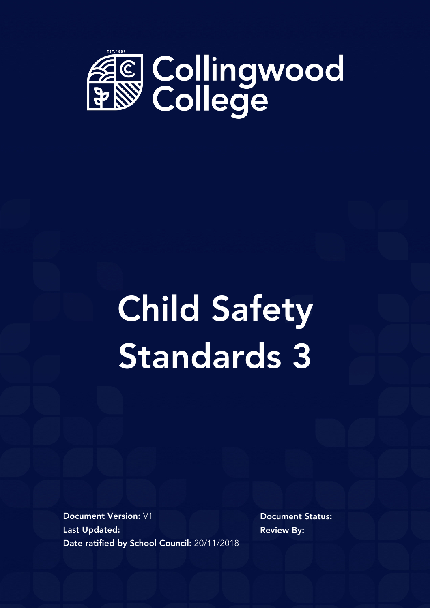

# Child Safety Standards 3

Document Version: V1 Last Updated: Date ratified by School Council: 20/11/2018 Document Status: Review By: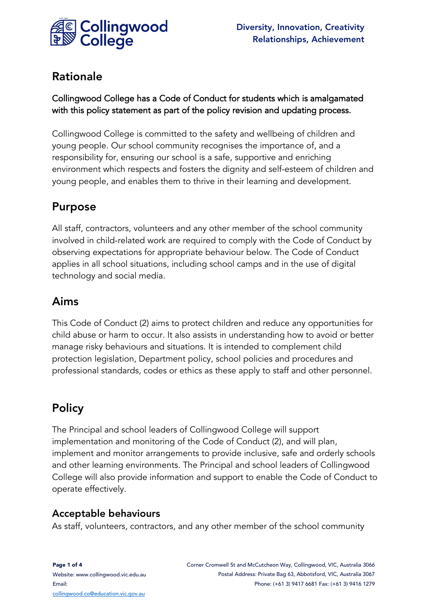

### Rationale

#### Collingwood College has a Code of Conduct for students which is amalgamated with this policy statement as part of the policy revision and updating process.

Collingwood College is committed to the safety and wellbeing of children and young people. Our school community recognises the importance of, and a responsibility for, ensuring our school is a safe, supportive and enriching environment which respects and fosters the dignity and self-esteem of children and young people, and enables them to thrive in their learning and development.

## Purpose

All staff, contractors, volunteers and any other member of the school community involved in child-related work are required to comply with the Code of Conduct by observing expectations for appropriate behaviour below. The Code of Conduct applies in all school situations, including school camps and in the use of digital technology and social media.

## Aims

This Code of Conduct (2) aims to protect children and reduce any opportunities for child abuse or harm to occur. It also assists in understanding how to avoid or better manage risky behaviours and situations. It is intended to complement child protection legislation, Department policy, school policies and procedures and professional standards, codes or ethics as these apply to staff and other personnel.

## **Policy**

The Principal and school leaders of Collingwood College will support implementation and monitoring of the Code of Conduct (2), and will plan, implement and monitor arrangements to provide inclusive, safe and orderly schools and other learning environments. The Principal and school leaders of Collingwood College will also provide information and support to enable the Code of Conduct to operate effectively.

#### Acceptable behaviours

As staff, volunteers, contractors, and any other member of the school community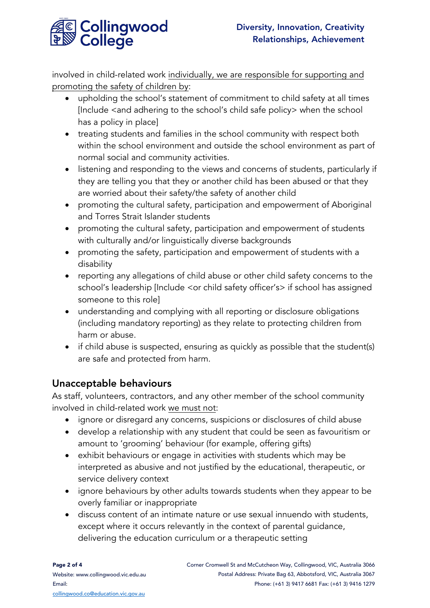

involved in child-related work individually, we are responsible for supporting and promoting the safety of children by:

- upholding the school's statement of commitment to child safety at all times [Include <and adhering to the school's child safe policy> when the school has a policy in place]
- treating students and families in the school community with respect both within the school environment and outside the school environment as part of normal social and community activities.
- listening and responding to the views and concerns of students, particularly if they are telling you that they or another child has been abused or that they are worried about their safety/the safety of another child
- promoting the cultural safety, participation and empowerment of Aboriginal and Torres Strait Islander students
- promoting the cultural safety, participation and empowerment of students with culturally and/or linguistically diverse backgrounds
- promoting the safety, participation and empowerment of students with a disability
- reporting any allegations of child abuse or other child safety concerns to the school's leadership [Include <or child safety officer's> if school has assigned someone to this role]
- understanding and complying with all reporting or disclosure obligations (including mandatory reporting) as they relate to protecting children from harm or abuse.
- if child abuse is suspected, ensuring as quickly as possible that the student(s) are safe and protected from harm.

#### Unacceptable behaviours

As staff, volunteers, contractors, and any other member of the school community involved in child-related work we must not:

- ignore or disregard any concerns, suspicions or disclosures of child abuse
- develop a relationship with any student that could be seen as favouritism or amount to 'grooming' behaviour (for example, offering gifts)
- exhibit behaviours or engage in activities with students which may be interpreted as abusive and not justified by the educational, therapeutic, or service delivery context
- ignore behaviours by other adults towards students when they appear to be overly familiar or inappropriate
- discuss content of an intimate nature or use sexual innuendo with students, except where it occurs relevantly in the context of parental guidance, delivering the education curriculum or a therapeutic setting